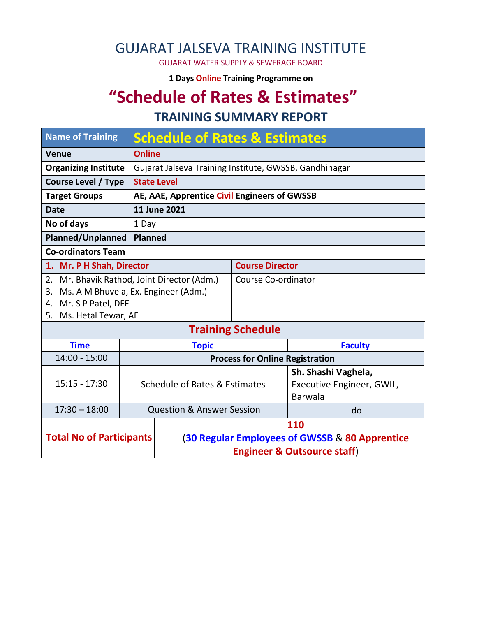## GUJARAT JALSEVA TRAINING INSTITUTE

GUJARAT WATER SUPPLY & SEWERAGE BOARD

**1 Days Online Training Programme on** 

# **"Schedule of Rates & Estimates"**

#### **TRAINING SUMMARY REPORT**

| <b>Name of Training</b>                                                               | <b>Schedule of Rates &amp; Estimates</b> |                                                |                          |                                  |  |
|---------------------------------------------------------------------------------------|------------------------------------------|------------------------------------------------|--------------------------|----------------------------------|--|
| <b>Venue</b>                                                                          | <b>Online</b>                            |                                                |                          |                                  |  |
| <b>Organizing Institute</b><br>Gujarat Jalseva Training Institute, GWSSB, Gandhinagar |                                          |                                                |                          |                                  |  |
| <b>Course Level / Type</b>                                                            |                                          | <b>State Level</b>                             |                          |                                  |  |
| <b>Target Groups</b>                                                                  |                                          | AE, AAE, Apprentice Civil Engineers of GWSSB   |                          |                                  |  |
| <b>Date</b>                                                                           |                                          | 11 June 2021                                   |                          |                                  |  |
| No of days                                                                            |                                          | 1 Day                                          |                          |                                  |  |
| Planned/Unplanned<br>Planned                                                          |                                          |                                                |                          |                                  |  |
| <b>Co-ordinators Team</b>                                                             |                                          |                                                |                          |                                  |  |
| 1. Mr. P H Shah, Director                                                             |                                          |                                                | <b>Course Director</b>   |                                  |  |
| 2. Mr. Bhavik Rathod, Joint Director (Adm.)                                           |                                          |                                                | Course Co-ordinator      |                                  |  |
| Ms. A M Bhuvela, Ex. Engineer (Adm.)<br>3.                                            |                                          |                                                |                          |                                  |  |
| 4. Mr. S P Patel, DEE                                                                 |                                          |                                                |                          |                                  |  |
| 5. Ms. Hetal Tewar, AE                                                                |                                          |                                                |                          |                                  |  |
|                                                                                       |                                          |                                                | <b>Training Schedule</b> |                                  |  |
| <b>Time</b>                                                                           |                                          | <b>Topic</b>                                   |                          | <b>Faculty</b>                   |  |
| $14:00 - 15:00$                                                                       |                                          | <b>Process for Online Registration</b>         |                          |                                  |  |
|                                                                                       |                                          |                                                |                          | Sh. Shashi Vaghela,              |  |
| $15:15 - 17:30$                                                                       |                                          | Schedule of Rates & Estimates                  |                          | <b>Executive Engineer, GWIL,</b> |  |
|                                                                                       |                                          |                                                |                          | <b>Barwala</b>                   |  |
| $17:30 - 18:00$                                                                       |                                          | <b>Question &amp; Answer Session</b>           |                          | do                               |  |
|                                                                                       |                                          | 110                                            |                          |                                  |  |
| <b>Total No of Participants</b>                                                       |                                          | (30 Regular Employees of GWSSB & 80 Apprentice |                          |                                  |  |
|                                                                                       |                                          | <b>Engineer &amp; Outsource staff)</b>         |                          |                                  |  |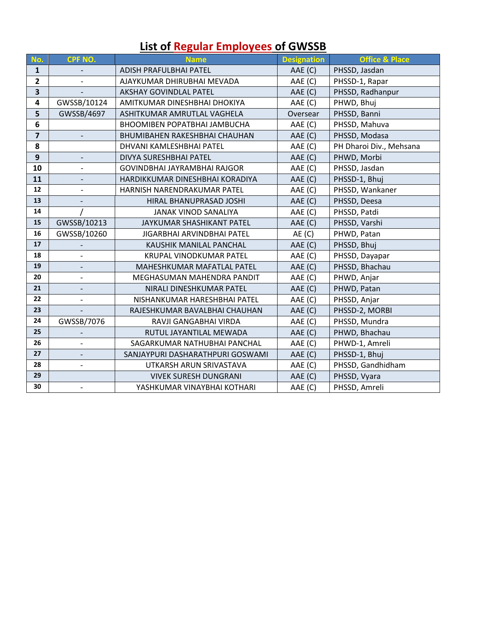## **List of Regular Employees of GWSSB**

| No.                     | CPF NO.                  | <b>Name</b>                          | <b>Designation</b> | <b>Office &amp; Place</b> |
|-------------------------|--------------------------|--------------------------------------|--------------------|---------------------------|
| $\mathbf{1}$            |                          | ADISH PRAFULBHAI PATEL<br>AAE (C)    |                    | PHSSD, Jasdan             |
| $\mathbf{2}$            |                          | AJAYKUMAR DHIRUBHAI MEVADA           | AAE (C)            | PHSSD-1, Rapar            |
| 3                       |                          | <b>AKSHAY GOVINDLAL PATEL</b>        | AAE (C)            | PHSSD, Radhanpur          |
| $\overline{\mathbf{4}}$ | GWSSB/10124              | AMITKUMAR DINESHBHAI DHOKIYA         | AAE (C)            | PHWD, Bhuj                |
| 5                       | GWSSB/4697               | ASHITKUMAR AMRUTLAL VAGHELA          | Oversear           | PHSSD, Banni              |
| 6                       |                          | BHOOMIBEN POPATBHAI JAMBUCHA         | AAE (C)            | PHSSD, Mahuva             |
| $\overline{\mathbf{z}}$ | $\overline{\phantom{a}}$ | <b>BHUMIBAHEN RAKESHBHAI CHAUHAN</b> | AAE (C)            | PHSSD, Modasa             |
| 8                       |                          | DHVANI KAMLESHBHAI PATEL             | AAE (C)            | PH Dharoi Div., Mehsana   |
| 9                       |                          | DIVYA SURESHBHAI PATEL               | AAE (C)            | PHWD, Morbi               |
| 10                      | $\overline{\phantom{a}}$ | GOVINDBHAI JAYRAMBHAI RAJGOR         | AAE (C)            | PHSSD, Jasdan             |
| 11                      |                          | HARDIKKUMAR DINESHBHAI KORADIYA      | AAE (C)            | PHSSD-1, Bhuj             |
| 12                      |                          | HARNISH NARENDRAKUMAR PATEL          | AAE (C)            | PHSSD, Wankaner           |
| 13                      |                          | HIRAL BHANUPRASAD JOSHI              | AAE (C)            | PHSSD, Deesa              |
| 14                      |                          | <b>JANAK VINOD SANALIYA</b>          | AAE (C)            | PHSSD, Patdi              |
| 15                      | GWSSB/10213              | JAYKUMAR SHASHIKANT PATEL            | AAE (C)            | PHSSD, Varshi             |
| 16                      | GWSSB/10260              | JIGARBHAI ARVINDBHAI PATEL           | AE(C)              | PHWD, Patan               |
| 17                      |                          | KAUSHIK MANILAL PANCHAL              | AAE (C)            | PHSSD, Bhuj               |
| 18                      |                          | <b>KRUPAL VINODKUMAR PATEL</b>       | AAE (C)            | PHSSD, Dayapar            |
| 19                      |                          | MAHESHKUMAR MAFATLAL PATEL           | AAE (C)            | PHSSD, Bhachau            |
| 20                      | $\overline{\phantom{0}}$ | MEGHASUMAN MAHENDRA PANDIT           | AAE (C)            | PHWD, Anjar               |
| 21                      |                          | NIRALI DINESHKUMAR PATEL             | AAE (C)            | PHWD, Patan               |
| 22                      | $\overline{\phantom{0}}$ | NISHANKUMAR HARESHBHAI PATEL         | AAE (C)            | PHSSD, Anjar              |
| 23                      |                          | RAJESHKUMAR BAVALBHAI CHAUHAN        | AAE (C)            | PHSSD-2, MORBI            |
| 24                      | GWSSB/7076               | RAVJI GANGABHAI VIRDA                | AAE (C)            | PHSSD, Mundra             |
| 25                      |                          | RUTUL JAYANTILAL MEWADA              | AAE (C)            | PHWD, Bhachau             |
| 26                      | $\overline{a}$           | SAGARKUMAR NATHUBHAI PANCHAL         | AAE (C)            | PHWD-1, Amreli            |
| 27                      | $\overline{\phantom{0}}$ | SANJAYPURI DASHARATHPURI GOSWAMI     | AAE (C)            | PHSSD-1, Bhuj             |
| 28                      | $\overline{\phantom{0}}$ | UTKARSH ARUN SRIVASTAVA              | AAE (C)            | PHSSD, Gandhidham         |
| 29                      |                          | <b>VIVEK SURESH DUNGRANI</b>         | AAE (C)            | PHSSD, Vyara              |
| 30                      | $\overline{\phantom{a}}$ | YASHKUMAR VINAYBHAI KOTHARI          | AAE (C)            | PHSSD, Amreli             |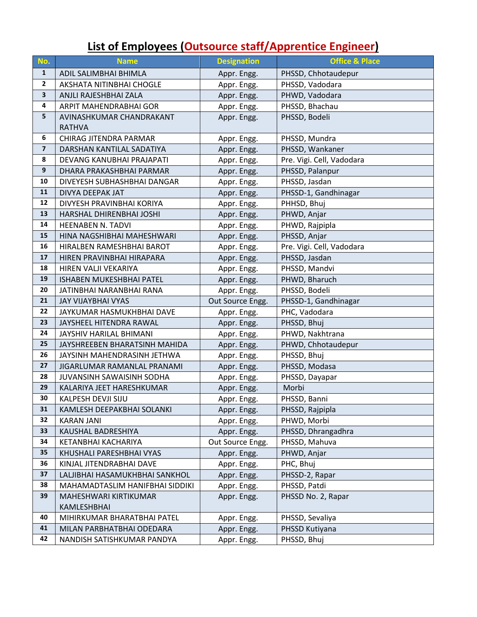## **List of Employees (Outsource staff/Apprentice Engineer)**

| No.              | <b>Name</b>                     | <b>Designation</b> | <b>Office &amp; Place</b> |  |
|------------------|---------------------------------|--------------------|---------------------------|--|
| $\mathbf{1}$     | ADIL SALIMBHAI BHIMLA           | Appr. Engg.        | PHSSD, Chhotaudepur       |  |
| $\overline{2}$   | AKSHATA NITINBHAI CHOGLE        | Appr. Engg.        | PHSSD, Vadodara           |  |
| $\mathbf{3}$     | ANJLI RAJESHBHAI ZALA           | Appr. Engg.        | PHWD, Vadodara            |  |
| 4                | ARPIT MAHENDRABHAI GOR          | Appr. Engg.        | PHSSD, Bhachau            |  |
| 5                | AVINASHKUMAR CHANDRAKANT        | Appr. Engg.        | PHSSD, Bodeli             |  |
|                  | <b>RATHVA</b>                   |                    |                           |  |
| 6                | CHIRAG JITENDRA PARMAR          | Appr. Engg.        | PHSSD, Mundra             |  |
| $\overline{7}$   | DARSHAN KANTILAL SADATIYA       | Appr. Engg.        | PHSSD, Wankaner           |  |
| 8                | DEVANG KANUBHAI PRAJAPATI       | Appr. Engg.        | Pre. Vigi. Cell, Vadodara |  |
| $\boldsymbol{9}$ | DHARA PRAKASHBHAI PARMAR        | Appr. Engg.        | PHSSD, Palanpur           |  |
| 10               | DIVEYESH SUBHASHBHAI DANGAR     | Appr. Engg.        | PHSSD, Jasdan             |  |
| 11               | DIVYA DEEPAK JAT                | Appr. Engg.        | PHSSD-1, Gandhinagar      |  |
| 12               | DIVYESH PRAVINBHAI KORIYA       | Appr. Engg.        | PHHSD, Bhuj               |  |
| 13               | HARSHAL DHIRENBHAI JOSHI        | Appr. Engg.        | PHWD, Anjar               |  |
| 14               | <b>HEENABEN N. TADVI</b>        | Appr. Engg.        | PHWD, Rajpipla            |  |
| 15               | HINA NAGSHIBHAI MAHESHWARI      | Appr. Engg.        | PHSSD, Anjar              |  |
| 16               | HIRALBEN RAMESHBHAI BAROT       | Appr. Engg.        | Pre. Vigi. Cell, Vadodara |  |
| 17               | HIREN PRAVINBHAI HIRAPARA       | Appr. Engg.        | PHSSD, Jasdan             |  |
| 18               | HIREN VALJI VEKARIYA            | Appr. Engg.        | PHSSD, Mandvi             |  |
| 19               | <b>ISHABEN MUKESHBHAI PATEL</b> | Appr. Engg.        | PHWD, Bharuch             |  |
| 20               | JATINBHAI NARANBHAI RANA        | Appr. Engg.        | PHSSD, Bodeli             |  |
| 21               | <b>JAY VIJAYBHAI VYAS</b>       | Out Source Engg.   | PHSSD-1, Gandhinagar      |  |
| 22               | JAYKUMAR HASMUKHBHAI DAVE       | Appr. Engg.        | PHC, Vadodara             |  |
| 23               | JAYSHEEL HITENDRA RAWAL         | Appr. Engg.        | PHSSD, Bhuj               |  |
| 24               | JAYSHIV HARILAL BHIMANI         | Appr. Engg.        | PHWD, Nakhtrana           |  |
| 25               | JAYSHREEBEN BHARATSINH MAHIDA   | Appr. Engg.        | PHWD, Chhotaudepur        |  |
| 26               | JAYSINH MAHENDRASINH JETHWA     | Appr. Engg.        | PHSSD, Bhuj               |  |
| 27               | JIGARLUMAR RAMANLAL PRANAMI     | Appr. Engg.        | PHSSD, Modasa             |  |
| 28               | JUVANSINH SAWAISINH SODHA       | Appr. Engg.        | PHSSD, Dayapar            |  |
| 29               | KALARIYA JEET HARESHKUMAR       | Appr. Engg.        | Morbi                     |  |
| 30               | KALPESH DEVJI SIJU              | Appr. Engg.        | PHSSD, Banni              |  |
| 31               | KAMLESH DEEPAKBHAI SOLANKI      | Appr. Engg.        | PHSSD, Rajpipla           |  |
| 32               | <b>KARAN JANI</b>               | Appr. Engg.        | PHWD, Morbi               |  |
| 33               | KAUSHAL BADRESHIYA              | Appr. Engg.        | PHSSD, Dhrangadhra        |  |
| 34               | KETANBHAI KACHARIYA             | Out Source Engg.   | PHSSD, Mahuva             |  |
| 35               | KHUSHALI PARESHBHAI VYAS        | Appr. Engg.        | PHWD, Anjar               |  |
| 36               | KINJAL JITENDRABHAI DAVE        | Appr. Engg.        | PHC, Bhuj                 |  |
| 37               | LALJIBHAI HASAMUKHBHAI SANKHOL  | Appr. Engg.        | PHSSD-2, Rapar            |  |
| 38               | MAHAMADTASLIM HANIFBHAI SIDDIKI | Appr. Engg.        | PHSSD, Patdi              |  |
| 39               | MAHESHWARI KIRTIKUMAR           | Appr. Engg.        | PHSSD No. 2, Rapar        |  |
|                  | KAMLESHBHAI                     |                    |                           |  |
| 40               | MIHIRKUMAR BHARATBHAI PATEL     | Appr. Engg.        | PHSSD, Sevaliya           |  |
| 41               | MILAN PARBHATBHAI ODEDARA       | Appr. Engg.        | PHSSD Kutiyana            |  |
| 42               | NANDISH SATISHKUMAR PANDYA      | Appr. Engg.        | PHSSD, Bhuj               |  |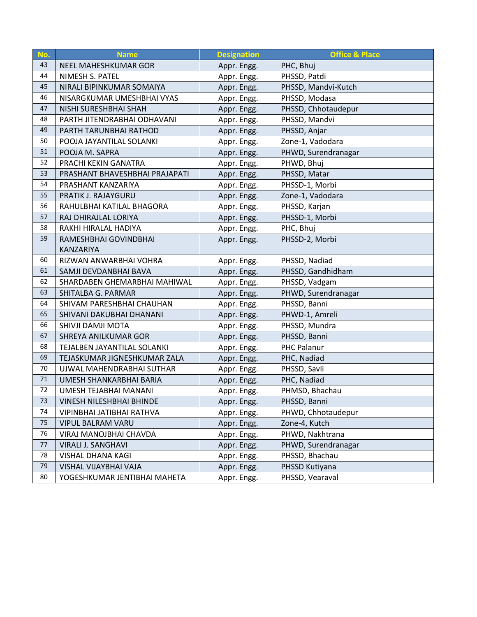| No. | <b>Name</b>                    | <b>Designation</b> | <b>Office &amp; Place</b> |  |
|-----|--------------------------------|--------------------|---------------------------|--|
| 43  | NEEL MAHESHKUMAR GOR           | Appr. Engg.        | PHC, Bhuj                 |  |
| 44  | NIMESH S. PATEL                | Appr. Engg.        | PHSSD, Patdi              |  |
| 45  | NIRALI BIPINKUMAR SOMAIYA      | Appr. Engg.        | PHSSD, Mandvi-Kutch       |  |
| 46  | NISARGKUMAR UMESHBHAI VYAS     | Appr. Engg.        | PHSSD, Modasa             |  |
| 47  | NISHI SURESHBHAI SHAH          | Appr. Engg.        | PHSSD, Chhotaudepur       |  |
| 48  | PARTH JITENDRABHAI ODHAVANI    | Appr. Engg.        | PHSSD, Mandvi             |  |
| 49  | PARTH TARUNBHAI RATHOD         | Appr. Engg.        | PHSSD, Anjar              |  |
| 50  | POOJA JAYANTILAL SOLANKI       | Appr. Engg.        | Zone-1, Vadodara          |  |
| 51  | POOJA M. SAPRA                 | Appr. Engg.        | PHWD, Surendranagar       |  |
| 52  | PRACHI KEKIN GANATRA           | Appr. Engg.        | PHWD, Bhuj                |  |
| 53  | PRASHANT BHAVESHBHAI PRAJAPATI | Appr. Engg.        | PHSSD, Matar              |  |
| 54  | PRASHANT KANZARIYA             | Appr. Engg.        | PHSSD-1, Morbi            |  |
| 55  | PRATIK J. RAJAYGURU            | Appr. Engg.        | Zone-1, Vadodara          |  |
| 56  | RAHULBHAI KATILAL BHAGORA      | Appr. Engg.        | PHSSD, Karjan             |  |
| 57  | RAJ DHIRAJLAL LORIYA           | Appr. Engg.        | PHSSD-1, Morbi            |  |
| 58  | RAKHI HIRALAL HADIYA           | Appr. Engg.        | PHC, Bhuj                 |  |
| 59  | RAMESHBHAI GOVINDBHAI          | Appr. Engg.        | PHSSD-2, Morbi            |  |
|     | KANZARIYA                      |                    |                           |  |
| 60  | RIZWAN ANWARBHAI VOHRA         | Appr. Engg.        | PHSSD, Nadiad             |  |
| 61  | SAMJI DEVDANBHAI BAVA          | Appr. Engg.        | PHSSD, Gandhidham         |  |
| 62  | SHARDABEN GHEMARBHAI MAHIWAL   | Appr. Engg.        | PHSSD, Vadgam             |  |
| 63  | SHITALBA G. PARMAR             | Appr. Engg.        | PHWD, Surendranagar       |  |
| 64  | SHIVAM PARESHBHAI CHAUHAN      | Appr. Engg.        | PHSSD, Banni              |  |
| 65  | SHIVANI DAKUBHAI DHANANI       | Appr. Engg.        | PHWD-1, Amreli            |  |
| 66  | SHIVJI DAMJI MOTA              | Appr. Engg.        | PHSSD, Mundra             |  |
| 67  | SHREYA ANILKUMAR GOR           | Appr. Engg.        | PHSSD, Banni              |  |
| 68  | TEJALBEN JAYANTILAL SOLANKI    | Appr. Engg.        | <b>PHC Palanur</b>        |  |
| 69  | TEJASKUMAR JIGNESHKUMAR ZALA   | Appr. Engg.        | PHC, Nadiad               |  |
| 70  | UJWAL MAHENDRABHAI SUTHAR      | Appr. Engg.        | PHSSD, Savli              |  |
| 71  | UMESH SHANKARBHAI BARIA        | Appr. Engg.        | PHC, Nadiad               |  |
| 72  | UMESH TEJABHAI MANANI          | Appr. Engg.        | PHMSD, Bhachau            |  |
| 73  | VINESH NILESHBHAI BHINDE       | Appr. Engg.        | PHSSD, Banni              |  |
| 74  | VIPINBHAI JATIBHAI RATHVA      | Appr. Engg.        | PHWD, Chhotaudepur        |  |
| 75  | VIPUL BALRAM VARU              | Appr. Engg.        | Zone-4, Kutch             |  |
| 76  | VIRAJ MANOJBHAI CHAVDA         | Appr. Engg.        | PHWD, Nakhtrana           |  |
| 77  | VIRALI J. SANGHAVI             | Appr. Engg.        | PHWD, Surendranagar       |  |
| 78  | VISHAL DHANA KAGI              | Appr. Engg.        | PHSSD, Bhachau            |  |
| 79  | VISHAL VIJAYBHAI VAJA          | Appr. Engg.        | PHSSD Kutiyana            |  |
| 80  | YOGESHKUMAR JENTIBHAI MAHETA   | Appr. Engg.        | PHSSD, Vearaval           |  |